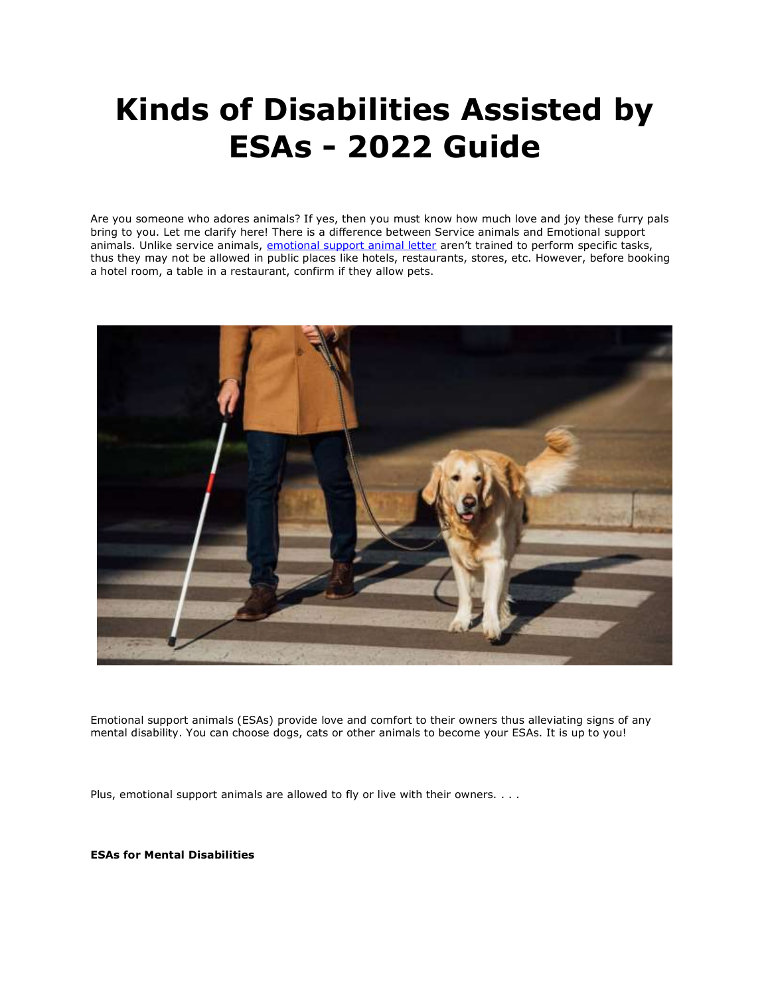# **Kinds of Disabilities Assisted by ESAs - 2022 Guide**

Are you someone who adores animals? If yes, then you must know how much love and joy these furry pals bring to you. Let me clarify here! There is a difference between Service animals and Emotional support animals. Unlike service animals, [emotional support animal letter](https://www.realesaletter.com/sample-esa-letter) aren't trained to perform specific tasks, thus they may not be allowed in public places like hotels, restaurants, stores, etc. However, before booking a hotel room, a table in a restaurant, confirm if they allow pets.



Emotional support animals (ESAs) provide love and comfort to their owners thus alleviating signs of any mental disability. You can choose dogs, cats or other animals to become your ESAs. It is up to you!

Plus, emotional support animals are allowed to fly or live with their owners. . . .

**ESAs for Mental Disabilities**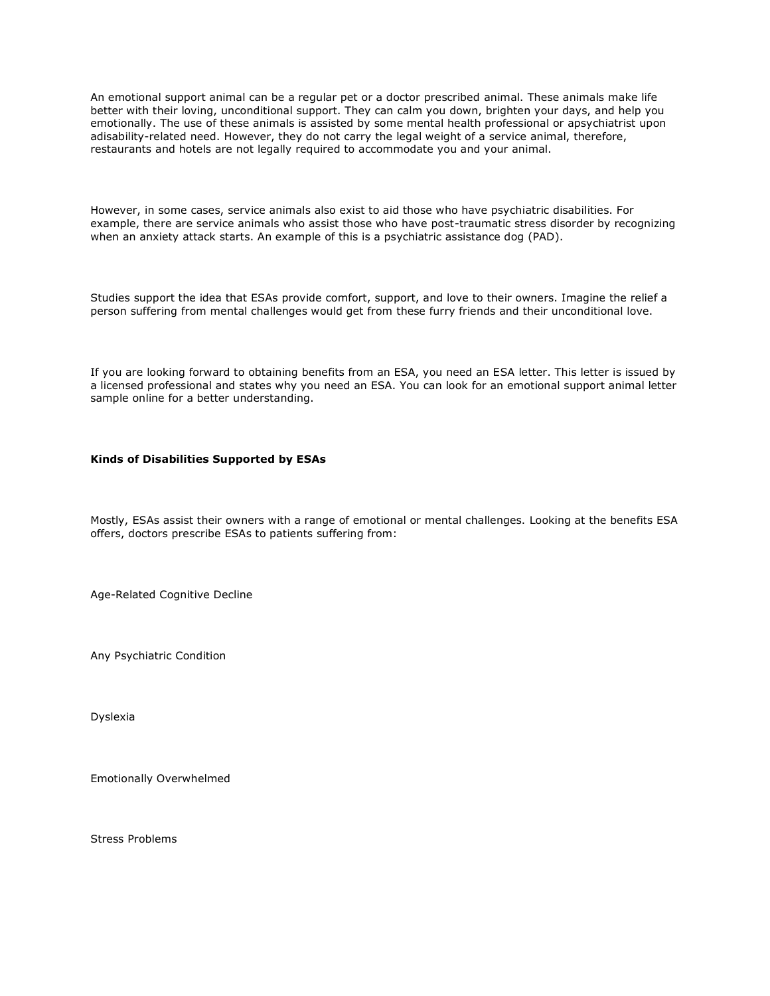An emotional support animal can be a regular pet or a doctor prescribed animal. These animals make life better with their loving, unconditional support. They can calm you down, brighten your days, and help you emotionally. The use of these animals is assisted by some mental health professional or apsychiatrist upon adisability-related need. However, they do not carry the legal weight of a service animal, therefore, restaurants and hotels are not legally required to accommodate you and your animal.

However, in some cases, service animals also exist to aid those who have psychiatric disabilities. For example, there are service animals who assist those who have post-traumatic stress disorder by recognizing when an anxiety attack starts. An example of this is a psychiatric assistance dog (PAD).

Studies support the idea that ESAs provide comfort, support, and love to their owners. Imagine the relief a person suffering from mental challenges would get from these furry friends and their unconditional love.

If you are looking forward to obtaining benefits from an ESA, you need an ESA letter. This letter is issued by a licensed professional and states why you need an ESA. You can look for an emotional support animal letter sample online for a better understanding.

### **Kinds of Disabilities Supported by ESAs**

Mostly, ESAs assist their owners with a range of emotional or mental challenges. Looking at the benefits ESA offers, doctors prescribe ESAs to patients suffering from:

Age-Related Cognitive Decline

Any Psychiatric Condition

Dyslexia

Emotionally Overwhelmed

Stress Problems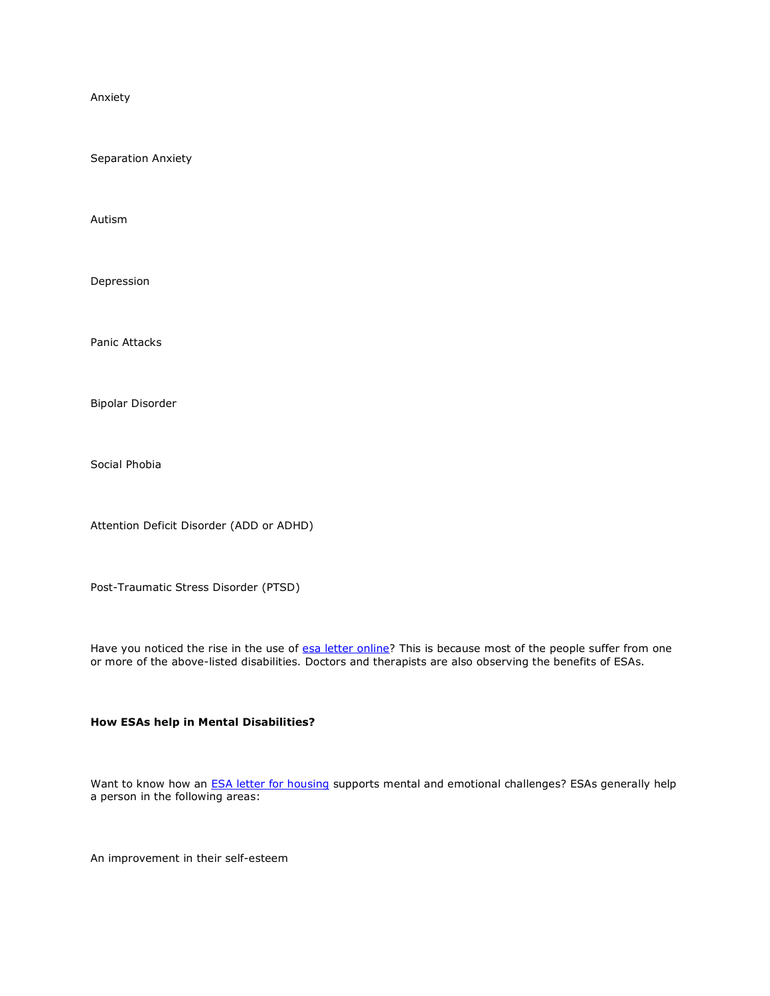Anxiety

Separation Anxiety

Autism

Depression

Panic Attacks

Bipolar Disorder

Social Phobia

Attention Deficit Disorder (ADD or ADHD)

Post-Traumatic Stress Disorder (PTSD)

Have you noticed the rise in the use of [esa letter online?](https://www.realesaletter.com/sample-esa-letter) This is because most of the people suffer from one or more of the above-listed disabilities. Doctors and therapists are also observing the benefits of ESAs.

## **How ESAs help in Mental Disabilities?**

Want to know how an **[ESA letter for housing](https://www.realesaletter.com/sample-esa-letter)** supports mental and emotional challenges? ESAs generally help a person in the following areas:

An improvement in their self-esteem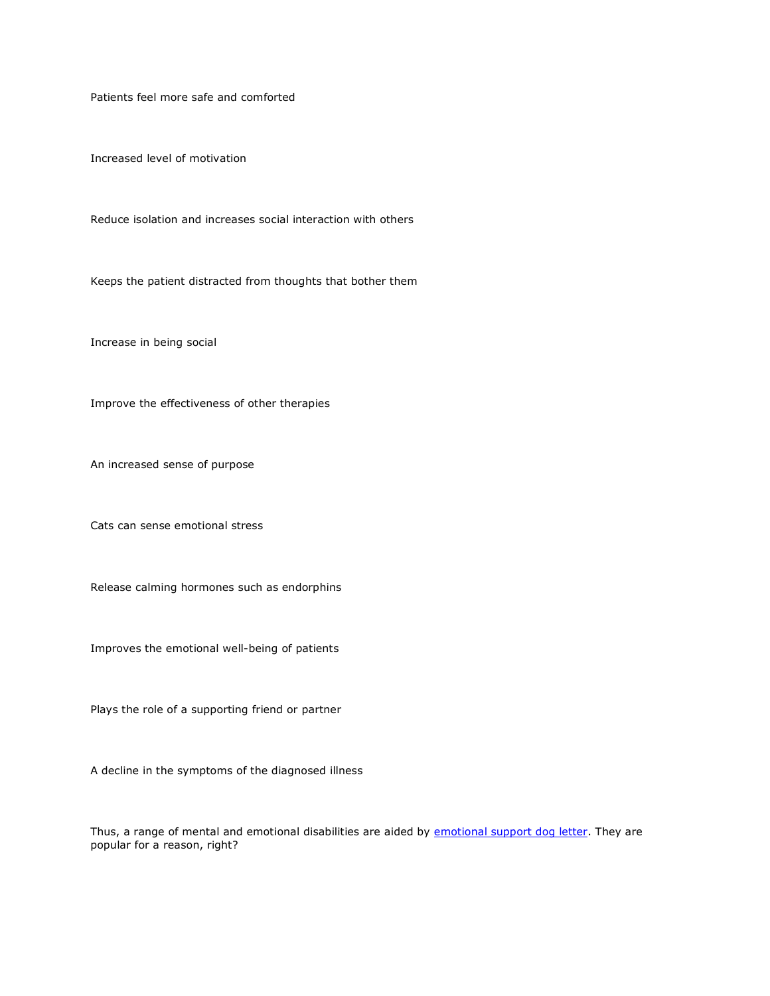Patients feel more safe and comforted

Increased level of motivation

Reduce isolation and increases social interaction with others

Keeps the patient distracted from thoughts that bother them

Increase in being social

Improve the effectiveness of other therapies

An increased sense of purpose

Cats can sense emotional stress

Release calming hormones such as endorphins

Improves the emotional well-being of patients

Plays the role of a supporting friend or partner

A decline in the symptoms of the diagnosed illness

Thus, a range of mental and emotional disabilities are aided by [emotional support dog letter.](https://www.realesaletter.com/sample-esa-letter) They are popular for a reason, right?